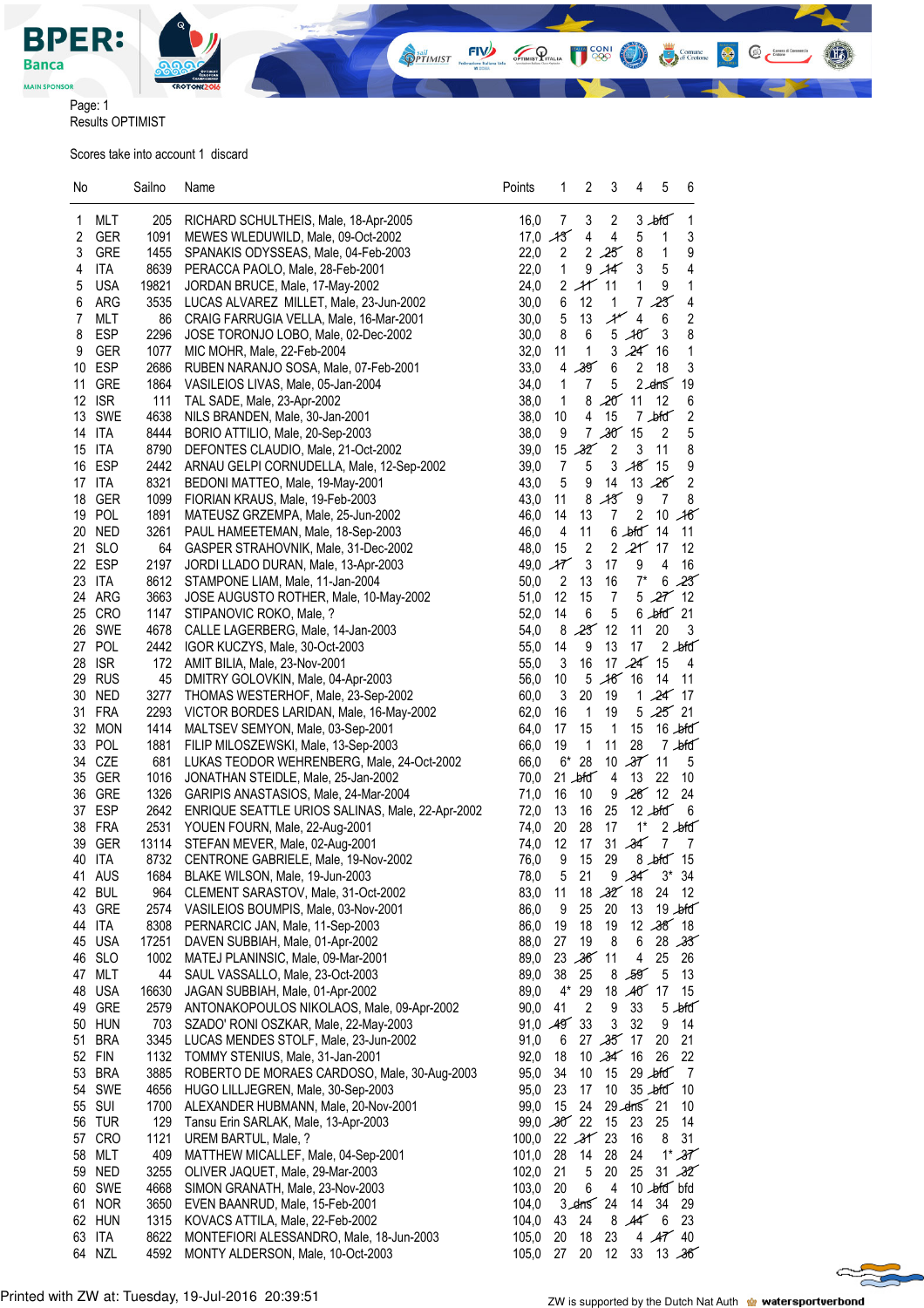

**OPTIMIST** 

 $f(x)$ 

OPTIMIST PITALIA

**CONI** 

 $@<sup>em</sup>$ 

 $\bullet$ 

Comune<br>
di Crotone

Page: 1 Results OPTIMIST

Scores take into account 1 discard

| No              |                  | Sailno        | Name                                                                        | Points              | 1                | 2              | 3                           | 4                          | 5                          | 6                 |
|-----------------|------------------|---------------|-----------------------------------------------------------------------------|---------------------|------------------|----------------|-----------------------------|----------------------------|----------------------------|-------------------|
|                 | MLT              |               |                                                                             |                     |                  | 3              | $\overline{c}$              |                            |                            |                   |
| 1<br>2          | <b>GER</b>       | 205<br>1091   | RICHARD SCHULTHEIS, Male, 18-Apr-2005<br>MEWES WLEDUWILD, Male, 09-Oct-2002 | 16,0<br>$17,0$ $13$ | 7                | 4              | 4                           |                            | $3 - b$ fd                 | 1<br>3            |
| 3               | <b>GRE</b>       | 1455          | SPANAKIS ODYSSEAS, Male, 04-Feb-2003                                        | 22,0                | $\overline{c}$   |                | 2.25                        | 5<br>8                     | 1<br>1                     | 9                 |
| 4               | <b>ITA</b>       | 8639          | PERACCA PAOLO, Male, 28-Feb-2001                                            | 22,0                | $\mathbf{1}$     | 9              | $\mathcal{A}$               | 3                          | 5                          | 4                 |
| 5               | <b>USA</b>       | 19821         | JORDAN BRUCE, Male, 17-May-2002                                             | 24,0                |                  | $2$ $+$ 11     |                             | 1                          | 9                          | 1                 |
| 6               | ARG              | 3535          | LUCAS ALVAREZ MILLET, Male, 23-Jun-2002                                     | 30,0                | 6                | 12             | 1                           | 7                          | 23                         | 4                 |
| 7               | MLT              | 86            | CRAIG FARRUGIA VELLA, Male, 16-Mar-2001                                     | 30,0                | $\overline{5}$   | 13             | $\mathcal{A}^{\mathscr{C}}$ | $\overline{4}$             | 6                          | $\sqrt{2}$        |
| 8               | <b>ESP</b>       | 2296          | JOSE TORONJO LOBO, Male, 02-Dec-2002                                        | 30,0                | 8                | 6              |                             | $5 - 10$                   | 3                          | 8                 |
| 9               | <b>GER</b>       | 1077          | MIC MOHR, Male, 22-Feb-2004                                                 | 32,0                | 11               | $\mathbf{1}$   |                             | 3,24                       | 16                         | 1                 |
| 10              | ESP              | 2686          | RUBEN NARANJO SOSA, Male, 07-Feb-2001                                       | 33,0                | 4                | 39             | 6                           | $\overline{c}$             | 18                         | 3                 |
| 11              | <b>GRE</b>       | 1864          | VASILEIOS LIVAS, Male, 05-Jan-2004                                          | 34,0                | 1                | $\overline{7}$ | 5                           |                            | 2.4 <sub>ns</sub>          | 19                |
| 12 <sup>°</sup> | <b>ISR</b>       | 111           | TAL SADE, Male, 23-Apr-2002                                                 | 38,0                | $\mathbf{1}$     | 8              | $20'$ 11                    |                            | 12                         | 6                 |
| 13              | SWE              | 4638          | NILS BRANDEN, Male, 30-Jan-2001                                             | 38,0                | 10               | 4              | 15                          |                            | $7 - b$ fd                 | $\sqrt{2}$        |
|                 | 14 ITA           | 8444          | BORIO ATTILIO, Male, 20-Sep-2003                                            | 38,0                | 9                |                | $7,30^{6}15$                |                            | 2                          | 5                 |
| 15              | ITA              | 8790          | DEFONTES CLAUDIO, Male, 21-Oct-2002                                         | 39,0                | 15               | 32             | $\sqrt{2}$                  | 3                          | 11                         | 8                 |
| 16              | ESP              | 2442          | ARNAU GELPI CORNUDELLA, Male, 12-Sep-2002                                   | 39,0                | $\boldsymbol{7}$ | $\sqrt{5}$     |                             | 3,48,15                    |                            | 9                 |
|                 | 17 ITA           | 8321          | BEDONI MATTEO, Male, 19-May-2001                                            | 43,0                | $\overline{5}$   | 9              | 14                          |                            | 13,26                      | $\overline{c}$    |
| 18              | <b>GER</b>       | 1099          | FIORIAN KRAUS, Male, 19-Feb-2003                                            | 43,0                | 11               | 8              | A3                          | 9                          | 7                          | 8                 |
|                 | 19 POL           | 1891          | MATEUSZ GRZEMPA, Male, 25-Jun-2002                                          | 46,0                | 14               | 13             | 7                           | 2                          | 10                         | 16                |
|                 | 20 NED           | 3261          | PAUL HAMEETEMAN, Male, 18-Sep-2003                                          | 46,0                | 4                | 11             |                             | $6$ bfd $14$               |                            | 11                |
| 21              | <b>SLO</b>       | 64            | GASPER STRAHOVNIK, Male, 31-Dec-2002                                        | 48,0                | 15               | $\overline{2}$ |                             | 2, 21, 17                  |                            | 12                |
|                 | 22 ESP           | 2197          | JORDI LLADO DURAN, Male, 13-Apr-2003                                        | 49,0                | ${\cal H}$       | 3              | 17                          | 9                          | 4                          | 16                |
|                 | 23 ITA<br>24 ARG | 8612<br>3663  | STAMPONE LIAM, Male, 11-Jan-2004                                            | 50,0<br>51,0        | 2<br>12          | 13<br>15       | 16                          | $7^*$                      | 6<br>5, 27, 12             | 23                |
|                 | 25 CRO           | 1147          | JOSE AUGUSTO ROTHER, Male, 10-May-2002<br>STIPANOVIC ROKO, Male, ?          | 52,0                | 14               | 6              | 7<br>5                      |                            | $6$ $\blacktriangle$ fd 21 |                   |
|                 | 26 SWE           | 4678          | CALLE LAGERBERG, Male, 14-Jan-2003                                          | 54,0                | 8                | 23             | 12                          | 11                         | 20                         | 3                 |
|                 | 27 POL           | 2442          | IGOR KUCZYS, Male, 30-Oct-2003                                              | 55,0                | 14               | 9              | 13                          | 17                         |                            | $2$ bid           |
|                 | 28 ISR           | 172           | AMIT BILIA, Male, 23-Nov-2001                                               | 55,0                | 3                | 16             |                             | 17 $24$                    | 15                         | 4                 |
|                 | 29 RUS           | 45            | DMITRY GOLOVKIN, Male, 04-Apr-2003                                          | 56,0                | 10               | 5              | $16^{6}$ 16                 |                            | 14                         | 11                |
|                 | 30 NED           | 3277          | THOMAS WESTERHOF, Male, 23-Sep-2002                                         | 60,0                | 3                | 20             | 19                          |                            | 1 $24$                     | 17                |
|                 | 31 FRA           | 2293          | VICTOR BORDES LARIDAN, Male, 16-May-2002                                    | 62,0                | 16               | $\mathbf{1}$   | 19                          |                            | 5.25                       | 21                |
|                 | 32 MON           | 1414          | MALTSEV SEMYON, Male, 03-Sep-2001                                           | 64,0                | 17               | 15             | $\overline{\phantom{1}}$    | 15                         |                            | $16$ bid          |
|                 | 33 POL           | 1881          | FILIP MILOSZEWSKI, Male, 13-Sep-2003                                        | 66,0                | 19               | $\mathbf{1}$   | 11                          | 28                         |                            | $7 - b$ fd        |
|                 | 34 CZE           | 681           | LUKAS TEODOR WEHRENBERG, Male, 24-Oct-2002                                  | 66,0                | $6*$             | 28             | 10                          | $37'$ 11                   |                            | 5                 |
| 35              | GER              | 1016          | JONATHAN STEIDLE, Male, 25-Jan-2002                                         | 70,0                |                  | $21 - b$ fd    | 4                           | 13                         | 22                         | 10                |
| 36              | <b>GRE</b>       | 1326          | GARIPIS ANASTASIOS, Male, 24-Mar-2004                                       | 71,0                | 16               | 10             | 9                           | 28'12                      |                            | 24                |
|                 | 37 ESP           | 2642          | ENRIQUE SEATTLE URIOS SALINAS, Male, 22-Apr-2002                            | 72,0                | 13               | 16             | 25                          |                            | $12$ bid                   | - 6               |
|                 | 38 FRA           | 2531          | YOUEN FOURN, Male, 22-Aug-2001                                              | 74,0                | 20               | 28             | 17                          | $1^*$                      |                            | $2 - b$ fd        |
|                 | 39 GER           | 13114         | STEFAN MEVER, Male, 02-Aug-2001                                             | 74,0                | 12               | 17             | 31                          | 34                         | 7                          | 7                 |
|                 | 40 ITA           | 8732          | CENTRONE GABRIELE, Male, 19-Nov-2002                                        | 76,0                | 9                | 15             | 29                          |                            | 8 bfd 15                   |                   |
| 41              | AUS              |               | 1684 BLAKE WILSON, Male, 19-Jun-2003                                        | 78,0                | 5 <sub>5</sub>   | 21             |                             |                            | $9.347.3*34$               |                   |
|                 | 42 BUL           | 964           | CLEMENT SARASTOV, Male, 31-Oct-2002                                         | 83,0                | 11               |                | $18.32^{6}18$               |                            | 24                         | 12                |
| 43              | GRE              | 2574          | VASILEIOS BOUMPIS, Male, 03-Nov-2001<br>PERNARCIC JAN, Male, 11-Sep-2003    | 86,0                | 9                | 25             | 20                          | 13                         |                            | $19 - b$ fd       |
| 44<br>45        | ITA<br>USA       | 8308<br>17251 | DAVEN SUBBIAH, Male, 01-Apr-2002                                            | 86,0<br>88,0        | 19<br>27         | 18<br>19       | 19<br>8                     | 6                          | 12,38,18                   | 28,33             |
| 46              | <b>SLO</b>       | 1002          | MATEJ PLANINSIC, Male, 09-Mar-2001                                          | 89,0                | 23               | 36'11          |                             | 4                          | 25                         | 26                |
| 47              | MLT              | 44            | SAUL VASSALLO, Male, 23-Oct-2003                                            | 89,0                | 38               | 25             | 8                           | 59                         | 5                          | 13                |
| 48              | USA              | 16630         | JAGAN SUBBIAH, Male, 01-Apr-2002                                            | 89,0                | 4*               | 29             | 18                          | A0                         | 17                         | 15                |
| 49              | GRE              | 2579          | ANTONAKOPOULOS NIKOLAOS, Male, 09-Apr-2002                                  | 90,0                | 41               | 2              | 9                           | 33                         | 5                          | $b$ fd            |
|                 | 50 HUN           | 703           | SZADO' RONI OSZKAR, Male, 22-May-2003                                       | 91,0                | A9               | 33             | 3                           | 32                         | 9                          | 14                |
| 51              | BRA              | 3345          | LUCAS MENDES STOLF, Male, 23-Jun-2002                                       | 91,0                | 6                | 27             | $35^\circ$                  | 17                         | 20                         | 21                |
|                 | 52 FIN           | 1132          | TOMMY STENIUS, Male, 31-Jan-2001                                            | 92,0                | 18               | 10             | $\mathcal{X}$               | 16                         | 26                         | 22                |
|                 | 53 BRA           | 3885          | ROBERTO DE MORAES CARDOSO, Male, 30-Aug-2003                                | 95,0                | 34               | 10             | 15                          |                            | $29 - b$ fd                | 7                 |
| 54              | SWE              | 4656          | HUGO LILLJEGREN, Male, 30-Sep-2003                                          | 95,0                | 23               | 17             | 10                          |                            | $35 - b$ fd                | 10                |
|                 | 55 SUI           | 1700          | ALEXANDER HUBMANN, Male, 20-Nov-2001                                        | 99,0                | 15               | 24             |                             | $29$ $\text{cm}$ $\sim$ 21 |                            | 10                |
|                 | 56 TUR           | 129           | Tansu Erin SARLAK, Male, 13-Apr-2003                                        | 99,0                | $30^{\circ}$     | 22             | 15                          | 23                         | 25                         | 14                |
|                 | 57 CRO           | 1121          | UREM BARTUL, Male, ?                                                        | 100,0               |                  | 22,31          | 23                          | 16                         | 8                          | 31                |
| 58              | MLT              | 409           | MATTHEW MICALLEF, Male, 04-Sep-2001                                         | 101,0               | 28               | 14             | 28                          | 24                         |                            | $1*37$            |
|                 | 59 NED           | 3255          | OLIVER JAQUET, Male, 29-Mar-2003                                            | 102,0               | 21               | 5              | 20                          | 25                         |                            | $31 - 32^{\circ}$ |
| 60              | SWE              | 4668          | SIMON GRANATH, Male, 23-Nov-2003                                            | 103,0               | 20               | 6              | 4                           |                            | $10$ bid bid               |                   |
|                 | 61 NOR           | 3650          | EVEN BAANRUD, Male, 15-Feb-2001                                             | 104,0               |                  | $3$ $dms$      | 24                          | 14                         | 34                         | 29                |
|                 | 62 HUN           | 1315          | KOVACS ATTILA, Male, 22-Feb-2002                                            | 104,0               | 43               | 24             | 8                           | $A\mathcal{L}$             | 6                          | 23                |
|                 | 63 ITA           | 8622          | MONTEFIORI ALESSANDRO, Male, 18-Jun-2003                                    | 105,0               | 20               | 18             | 23                          |                            | $4$ $A7$ 40                |                   |
| 64              | NZL              | 4592          | MONTY ALDERSON, Male, 10-Oct-2003                                           | 105,0               | 27               | 20             | 12                          | 33                         |                            | 13.36             |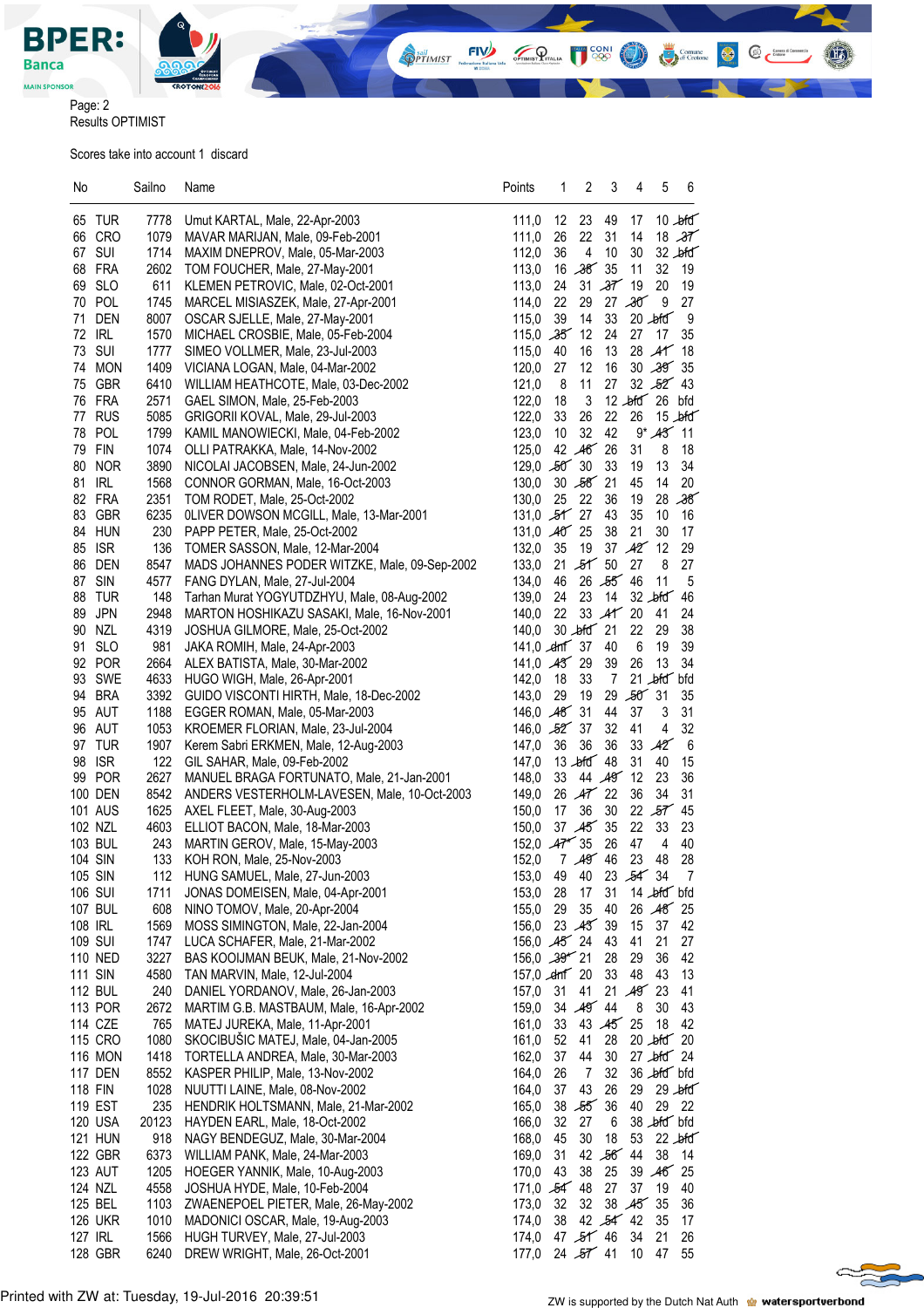

Page: 2 Results OPTIMIST

Scores take into account 1 discard

| No                 | Sailno       | Name                                                                       | Points                                  | 1  | 2                          | 3                  | 4              | 5                     | 6                          |
|--------------------|--------------|----------------------------------------------------------------------------|-----------------------------------------|----|----------------------------|--------------------|----------------|-----------------------|----------------------------|
|                    |              |                                                                            |                                         |    |                            |                    |                |                       |                            |
| 65 TUR             | 7778         | Umut KARTAL, Male, 22-Apr-2003                                             | 111,0                                   | 12 | 23                         | 49                 | 17             |                       | $10 - b$ fd                |
| 66 CRO             | 1079         | MAVAR MARIJAN, Male, 09-Feb-2001                                           | 111,0                                   | 26 | 22                         | 31                 | 14             |                       | 18.37                      |
| 67 SUI<br>68 FRA   | 1714         | MAXIM DNEPROV, Male, 05-Mar-2003                                           | 112,0                                   | 36 | $\overline{4}$<br>16,38,35 | 10                 | 30<br>11       | 32                    | $32$ $\cancel{\text{bfd}}$ |
| 69 SLO             | 2602<br>611  | TOM FOUCHER, Male, 27-May-2001                                             | 113,0<br>113,0                          | 24 |                            | 31,37,19           |                | 20                    | 19<br>19                   |
|                    |              | KLEMEN PETROVIC, Male, 02-Oct-2001                                         |                                         | 22 | 29                         |                    | 27.30          | $9\,$                 | 27                         |
| 70 POL             | 1745         | MARCEL MISIASZEK, Male, 27-Apr-2001                                        | 114,0                                   |    |                            | 33                 |                |                       |                            |
| 71 DEN<br>72 IRL   | 8007         | OSCAR SJELLE, Male, 27-May-2001                                            | 115,0<br>$115,0$ $-35$                  | 39 | 14<br>12                   | 24                 | 27             | $20$ bid<br>17        | 9<br>35                    |
| 73 SUI             | 1570<br>1777 | MICHAEL CROSBIE, Male, 05-Feb-2004<br>SIMEO VOLLMER, Male, 23-Jul-2003     | 115,0                                   | 40 | 16                         | 13                 |                | $28$ $\text{AT}$      | 18                         |
| 74 MON             | 1409         | VICIANA LOGAN, Male, 04-Mar-2002                                           | 120,0                                   | 27 | 12                         | 16                 |                | 30,39                 | 35                         |
| 75 GBR             | 6410         | WILLIAM HEATHCOTE, Male, 03-Dec-2002                                       | 121,0                                   | 8  | 11                         | 27                 |                | 32,52,43              |                            |
| 76 FRA             | 2571         | GAEL SIMON, Male, 25-Feb-2003                                              | 122,0                                   | 18 | 3                          |                    |                | 12 bfd 26 bfd         |                            |
| 77 RUS             | 5085         | GRIGORII KOVAL, Male, 29-Jul-2003                                          | 122,0                                   | 33 | 26                         | 22                 | 26             |                       | $15 - dfd$                 |
| 78 POL             | 1799         | KAMIL MANOWIECKI, Male, 04-Feb-2002                                        | 123,0                                   | 10 | 32                         | 42                 |                | $9*43'11$             |                            |
| 79 FIN             | 1074         | OLLI PATRAKKA, Male, 14-Nov-2002                                           | 125,0                                   |    | 42 46 26                   |                    | 31             | 8                     | 18                         |
| 80 NOR             | 3890         | NICOLAI JACOBSEN, Male, 24-Jun-2002                                        | $129,0$ $50^{\circ}$ 30                 |    |                            | 33                 | 19             | 13                    | 34                         |
| 81 IRL             | 1568         | CONNOR GORMAN, Male, 16-Oct-2003                                           | 130,0                                   |    | 30 58 21                   |                    | 45             | 14                    | 20                         |
| 82 FRA             | 2351         | TOM RODET, Male, 25-Oct-2002                                               | 130,0                                   | 25 | - 22                       | 36                 | 19             |                       | 28,38                      |
| 83 GBR             | 6235         | OLIVER DOWSON MCGILL, Male, 13-Mar-2001                                    | 131,0 $5f$ 27                           |    |                            | 43                 | 35             | 10                    | 16                         |
| 84 HUN             | 230          | PAPP PETER, Male, 25-Oct-2002                                              | 131,0 40 25                             |    |                            | 38                 | 21             | 30                    | 17                         |
| 85 ISR             | 136          | TOMER SASSON, Male, 12-Mar-2004                                            | 132,0                                   | 35 | 19                         |                    | 37,42          | 12                    | 29                         |
| 86 DEN             | 8547         | MADS JOHANNES PODER WITZKE, Male, 09-Sep-2002                              | 133,0                                   |    | $21 - 51$ 50               |                    | 27             | 8                     | 27                         |
| 87 SIN             | 4577         | FANG DYLAN, Male, 27-Jul-2004                                              | 134,0                                   | 46 |                            | 26 55 46           |                | 11                    | 5                          |
| 88 TUR             | 148          | Tarhan Murat YOGYUTDZHYU, Male, 08-Aug-2002                                | 139,0                                   | 24 | 23                         | 14                 |                | $32$ $\blacktriangle$ | 46                         |
| 89 JPN             | 2948         | MARTON HOSHIKAZU SASAKI, Male, 16-Nov-2001                                 | 140,0                                   | 22 |                            | 33 AT 20           |                | 41                    | 24                         |
| 90 NZL             | 4319         | JOSHUA GILMORE, Male, 25-Oct-2002                                          | 140,0                                   |    | $30$ $\text{eff}$ 21       |                    | 22             | 29                    | 38                         |
| <b>SLO</b><br>91   | 981          | JAKA ROMIH, Male, 24-Apr-2003                                              | 141,0 $\text{cm}$ 37                    |    |                            | 40                 | 6              | 19                    | 39                         |
| 92 POR             | 2664         | ALEX BATISTA, Male, 30-Mar-2002                                            | 141,0 $A3^2$ 29                         |    |                            | 39                 | 26             | 13                    | 34                         |
| 93 SWE             | 4633         | HUGO WIGH, Male, 26-Apr-2001                                               | 142,0                                   | 18 | 33                         | $\overline{7}$     |                | 21 bild bild          |                            |
| 94 BRA             | 3392         | GUIDO VISCONTI HIRTH, Male, 18-Dec-2002                                    | 143,0                                   | 29 | 19                         |                    | 29,50,31       |                       | 35                         |
| 95 AUT             | 1188         | EGGER ROMAN, Male, 05-Mar-2003                                             | 146,0 48 31                             |    |                            | 44                 | 37             | 3                     | 31                         |
| 96 AUT             | 1053         | KROEMER FLORIAN, Male, 23-Jul-2004                                         | 146,0 $52^{\circ}$ 37                   |    |                            | 32                 | 41             | 4                     | 32                         |
| 97 TUR             | 1907         | Kerem Sabri ERKMEN, Male, 12-Aug-2003                                      | 147,0                                   | 36 | 36                         | 36                 |                | 33 A2                 | 6                          |
| 98 ISR             | 122          | GIL SAHAR, Male, 09-Feb-2002                                               | 147,0                                   |    | 13 $\text{left}$ 48        |                    | 31             | 40                    | 15                         |
| 99 POR             | 2627         | MANUEL BRAGA FORTUNATO, Male, 21-Jan-2001                                  | 148,0                                   | 33 |                            | 44 49              | 12             | 23                    | 36                         |
| 100 DEN            | 8542         | ANDERS VESTERHOLM-LAVESEN, Male, 10-Oct-2003                               | 149,0                                   |    | $26$ $A\mathbf{7}$ 22      |                    | 36             | 34                    | 31                         |
| 101 AUS            | 1625         | AXEL FLEET, Male, 30-Aug-2003                                              | 150,0                                   | 17 | 36                         | 30                 |                | 22,57                 | 45                         |
| 102 NZL            | 4603         | ELLIOT BACON, Male, 18-Mar-2003                                            | 150,0                                   |    | 37 45 35                   |                    | 22             | 33                    | 23                         |
| 103 BUL            | 243          | MARTIN GEROV, Male, 15-May-2003                                            | 152,0 $Ar^2$ 35                         |    |                            | 26                 | 47             | $\overline{4}$        | 40                         |
| 104 SIN            | 133          | KOH RON, Male, 25-Nov-2003                                                 | 152,0                                   |    | 7.497.46                   |                    | 23             | 48                    | 28                         |
| 105 SIN            | 112          | HUNG SAMUEL, Male, 27-Jun-2003                                             | 153,0                                   |    | 49 40 23 54 34             |                    |                |                       | $\overline{7}$             |
| 106 SUI            | 1711         | JONAS DOMEISEN, Male, 04-Apr-2001                                          | 153,0                                   | 28 | 17                         | 31                 |                | 14 bfd bfd            |                            |
| 107 BUL            | 608          | NINO TOMOV, Male, 20-Apr-2004                                              | 155,0                                   | 29 | 35                         | 40                 |                | 26 48 25              |                            |
| 108 IRL            | 1569         | MOSS SIMINGTON, Male, 22-Jan-2004                                          | 156,0                                   |    | 23,43,39                   |                    | 15             | 37                    | 42                         |
| 109 SUI            | 1747         | LUCA SCHAFER, Male, 21-Mar-2002                                            | 156,0 45 24                             |    |                            | 43                 | 41             | 21                    | 27                         |
| 110 NED            | 3227         | BAS KOOIJMAN BEUK, Male, 21-Nov-2002                                       | $156,0$ $\mathcal{A}9^{\prime\prime}21$ |    |                            | 28                 | 29             | 36                    | 42                         |
| <b>111 SIN</b>     | 4580         | TAN MARVIN, Male, 12-Jul-2004                                              | 157,0 $\text{cm}$ 20                    |    |                            | 33                 | 48             | 43                    | 13                         |
| <b>112 BUL</b>     | 240          | DANIEL YORDANOV, Male, 26-Jan-2003                                         | 157,0                                   | 31 | 41<br>34 49 44             | 21                 | $49^{\circ}23$ |                       | 41                         |
| 113 POR            | 2672         | MARTIM G.B. MASTBAUM, Male, 16-Apr-2002<br>MATEJ JUREKA, Male, 11-Apr-2001 | 159,0                                   | 33 |                            | 43 $45^{\circ}$ 25 | 8              | 30                    | 43                         |
| 114 CZE<br>115 CRO | 765<br>1080  | SKOCIBUŠIC MATEJ, Male, 04-Jan-2005                                        | 161,0<br>161,0                          | 52 | 41                         | 28                 |                | 18<br>$20$ bfd $20$   | 42                         |
| <b>116 MON</b>     | 1418         | TORTELLA ANDREA, Male, 30-Mar-2003                                         | 162,0                                   | 37 | 44                         | 30                 |                | $27 - b$ fd $24$      |                            |
| 117 DEN            | 8552         | KASPER PHILIP, Male, 13-Nov-2002                                           | 164,0                                   | 26 | $\overline{7}$             | 32                 |                | 36 bfd bfd            |                            |
| 118 FIN            | 1028         | NUUTTI LAINE, Male, 08-Nov-2002                                            | 164,0                                   | 37 | 43                         | 26                 | 29             |                       | $29 - b$ fd                |
| 119 EST            | 235          | HENDRIK HOLTSMANN, Male, 21-Mar-2002                                       | 165,0                                   |    | 38,55                      | 36                 | 40             |                       | 29 22                      |
| 120 USA            | 20123        | HAYDEN EARL, Male, 18-Oct-2002                                             | 166,0                                   | 32 | 27                         | $\,6\,$            |                | 38 bfd bfd            |                            |
| <b>121 HUN</b>     | 918          | NAGY BENDEGUZ, Male, 30-Mar-2004                                           | 168,0                                   | 45 | 30                         | 18                 | 53             |                       | $22 - b$ fd                |
| 122 GBR            | 6373         | WILLIAM PANK, Male, 24-Mar-2003                                            | 169,0                                   | 31 |                            | 42,56,44           |                | 38                    | 14                         |
| 123 AUT            | 1205         | HOEGER YANNIK, Male, 10-Aug-2003                                           | 170,0                                   | 43 | 38                         | 25                 |                | 39 46                 | 25                         |
| 124 NZL            | 4558         | JOSHUA HYDE, Male, 10-Feb-2004                                             | 171,0 $54^{2}$ 48                       |    |                            | 27                 | 37             | 19                    | 40                         |
| 125 BEL            | 1103         | ZWAENEPOEL PIETER, Male, 26-May-2002                                       | 173,0                                   | 32 | 32                         |                    | 38 45 35       |                       | 36                         |
| <b>126 UKR</b>     | 1010         | MADONICI OSCAR, Male, 19-Aug-2003                                          | 174,0                                   | 38 |                            | 42 $54^{2}$ 42     |                | 35                    | 17                         |
| 127 IRL            | 1566         | HUGH TURVEY, Male, 27-Jul-2003                                             | 174,0                                   |    | 47 $55'$ 46                |                    | 34             | 21                    | 26                         |
| 128 GBR            | 6240         | DREW WRIGHT, Male, 26-Oct-2001                                             | 177,0                                   |    | 24,57,41                   |                    | 10             | 47                    | 55                         |
|                    |              |                                                                            |                                         |    |                            |                    |                |                       |                            |

**OPTIMIST** 

 $FIV$ 

OPTIMIST PITALIA

**CONI** 

 $@<sup>em</sup>$ 

 $\bullet$ 

Comune<br>
di Crotone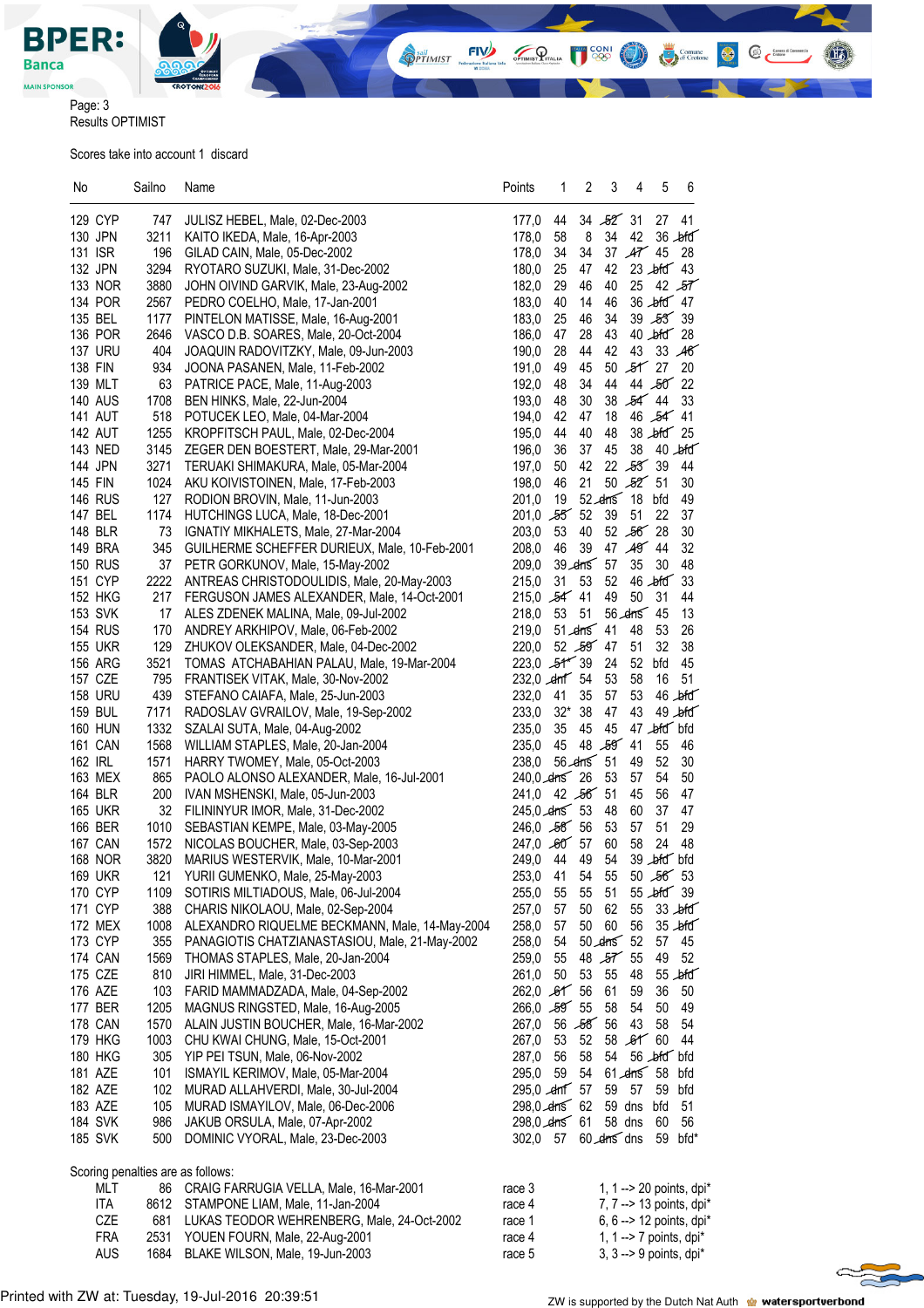

Page: 3

Results OPTIMIST

Scores take into account 1 discard

| No                                | Sailno | Name                                           | Points                 | 2<br>1         | 3<br>4                               | 5                      | 6           |
|-----------------------------------|--------|------------------------------------------------|------------------------|----------------|--------------------------------------|------------------------|-------------|
| 129 CYP                           | 747    | JULISZ HEBEL, Male, 02-Dec-2003                | 177,0                  | 44             | 34,52,31                             | 27 41                  |             |
| 130 JPN                           | 3211   | KAITO IKEDA, Male, 16-Apr-2003                 | 178,0                  | 8<br>58        | 34<br>42                             |                        | $36$ bid    |
| 131 ISR                           | 196    | GILAD CAIN, Male, 05-Dec-2002                  | 178,0                  | 34<br>34       | $37$ $A7$ 45                         |                        | 28          |
| 132 JPN                           | 3294   | RYOTARO SUZUKI, Male, 31-Dec-2002              | 180.0                  | 25<br>47       | 42                                   | $23$ bid 43            |             |
| 133 NOR                           | 3880   | JOHN OIVIND GARVIK, Male, 23-Aug-2002          | 182,0                  | 46<br>29       | 40                                   | $25$ 42 $57$           |             |
| 134 POR                           | 2567   | PEDRO COELHO, Male, 17-Jan-2001                | 183,0                  | 14<br>40       | 46                                   | 36 bfd 47              |             |
| 135 BEL                           | 1177   | PINTELON MATISSE, Male, 16-Aug-2001            | 183,0                  | 25<br>46       | 34                                   | 39 53 39               |             |
| 136 POR                           | 2646   | VASCO D.B. SOARES, Male, 20-Oct-2004           | 186,0                  | 28<br>47       | 43                                   | $40$ bid $28$          |             |
| <b>137 URU</b>                    | 404    | JOAQUIN RADOVITZKY, Male, 09-Jun-2003          | 190,0                  | 44<br>28       | 42                                   | 43 33 46               |             |
| 138 FIN                           | 934    | JOONA PASANEN, Male, 11-Feb-2002               | 191,0                  | 45<br>49       | 50                                   | $55$ 27                | 20          |
| 139 MLT                           | 63     | PATRICE PACE, Male, 11-Aug-2003                | 192,0                  | 48<br>34       | 44                                   | 44 50 22               |             |
| <b>140 AUS</b>                    | 1708   | BEN HINKS, Male, 22-Jun-2004                   | 193,0                  | 30<br>48       | 38                                   | $54^{44}$              | 33          |
| <b>141 AUT</b>                    | 518    | POTUCEK LEO, Male, 04-Mar-2004                 | 194,0                  | 42<br>47       | 18                                   | 46 54 41               |             |
| <b>142 AUT</b>                    | 1255   | KROPFITSCH PAUL, Male, 02-Dec-2004             | 195,0                  | 44<br>40       | 48                                   | $38$ $\frac{1}{10}$ 25 |             |
| 143 NED                           | 3145   | ZEGER DEN BOESTERT, Male, 29-Mar-2001          | 196,0                  | 36<br>37       | 45                                   | 38 40 bfd              |             |
| 144 JPN                           | 3271   | TERUAKI SHIMAKURA, Male, 05-Mar-2004           | 197,0                  | 42<br>50       | 22,53,39                             |                        | 44          |
| 145 FIN                           | 1024   | AKU KOIVISTOINEN, Male, 17-Feb-2003            | 198,0                  | 21<br>46       | 50,525,51                            |                        | 30          |
| <b>146 RUS</b>                    | 127    | RODION BROVIN, Male, 11-Jun-2003               | 201,0                  | 19             | $52$ drns 18                         | bfd                    | 49          |
| 147 BEL                           | 1174   | HUTCHINGS LUCA, Male, 18-Dec-2001              | $201,0$ $55$ 52        |                | 39<br>51                             | 22                     | 37          |
| 148 BLR                           | 73     | IGNATIY MIKHALETS, Male, 27-Mar-2004           | 203,0                  | 53<br>40       | $52,56$ 28                           |                        | 30          |
| 149 BRA                           | 345    | GUILHERME SCHEFFER DURIEUX, Male, 10-Feb-2001  | 208,0                  | 39<br>46       | 47 49 44                             |                        | 32          |
| <b>150 RUS</b>                    | 37     | PETR GORKUNOV, Male, 15-May-2002               | 209,0                  | 39 dms 57      | 35                                   | 30                     | 48          |
| 151 CYP                           | 2222   | ANTREAS CHRISTODOULIDIS, Male, 20-May-2003     | 215,0                  | 31<br>53       | 52                                   | $46$ bid               | 33          |
| <b>152 HKG</b>                    | 217    | FERGUSON JAMES ALEXANDER, Male, 14-Oct-2001    | $215,0$ $54$ 41        |                | 49<br>50                             | 31                     | 44          |
| 153 SVK                           | 17     | ALES ZDENEK MALINA, Male, 09-Jul-2002          | 218,0 53 51            |                | $56$ drns $45$                       |                        | 13          |
| <b>154 RUS</b>                    | 170    | ANDREY ARKHIPOV, Male, 06-Feb-2002             | 219,0                  | $51$ drns $41$ | 48                                   | 53                     | 26          |
| <b>155 UKR</b>                    | 129    | ZHUKOV OLEKSANDER, Male, 04-Dec-2002           | 220,0                  | 52,59,47       | 51                                   | 32                     | 38          |
| <b>156 ARG</b>                    | 3521   | TOMAS ATCHABAHIAN PALAU, Male, 19-Mar-2004     | $223,0$ $-54$ 39       |                | 24<br>52                             | bfd                    | 45          |
| 157 CZE                           | 795    | FRANTISEK VITAK, Male, 30-Nov-2002             | 232,0 cm 54            |                | 58<br>53                             | 16                     | 51          |
| <b>158 URU</b>                    | 439    | STEFANO CAIAFA, Male, 25-Jun-2003              | 232,0<br>-41           | 35             | 53<br>57                             |                        | $46$ bid    |
| <b>159 BUL</b>                    | 7171   | RADOSLAV GVRAILOV, Male, 19-Sep-2002           | 233,0                  | 32* 38         | 43<br>47                             |                        | $49$ bid    |
| <b>160 HUN</b>                    | 1332   | SZALAI SUTA, Male, 04-Aug-2002                 | 235,0                  | 35<br>45       | 45                                   | 47 bfd bfd             |             |
| 161 CAN                           | 1568   | WILLIAM STAPLES, Male, 20-Jan-2004             | 235.0                  | 45             | 48 59 41                             | 55                     | 46          |
| 162 IRL                           | 1571   | HARRY TWOMEY, Male, 05-Oct-2003                | 238,0                  | $56$ drns $51$ | 49                                   | 52                     | 30          |
| 163 MEX                           | 865    | PAOLO ALONSO ALEXANDER, Male, 16-Jul-2001      | 240,0 drns 26          |                | 53<br>57                             | 54                     | 50          |
| 164 BLR                           | 200    | IVAN MSHENSKI, Male, 05-Jun-2003               | 241,0 42 56 51         |                | 45                                   | 56                     | 47          |
| <b>165 UKR</b>                    | 32     | FILININYUR IMOR, Male, 31-Dec-2002             | $245,0$ drns 53        |                | 48<br>60                             | 37                     | 47          |
| 166 BER                           | 1010   | SEBASTIAN KEMPE, Male, 03-May-2005             | $246,0$ $58$ 56        |                | 53<br>57                             | 51                     | 29          |
| <b>167 CAN</b>                    | 1572   | NICOLAS BOUCHER, Male, 03-Sep-2003             | 247,0 60 57            |                | 60<br>58                             | 24                     | 48          |
| <b>168 NOR</b>                    | 3820   | MARIUS WESTERVIK, Male, 10-Mar-2001            | 249,0 44               | 49             | 54                                   | 39 bfd bfd             |             |
| <b>169 UKR</b>                    |        | 121 YURII GUMENKO, Male, 25-May-2003           | 253,0 41               | 54             | 55                                   | 50,565,53              |             |
| 170 CYP                           | 1109   | SOTIRIS MILTIADOUS, Male, 06-Jul-2004          | 255,0 55 55            |                | - 51                                 | 55 bfd 39              |             |
| 171 CYP                           | 388    | CHARIS NIKOLAOU, Male, 02-Sep-2004             | 257,0 57               | 50             | 62<br>55                             | $33$ $\cancel{\mu}$ fd |             |
| 172 MEX                           | 1008   | ALEXANDRO RIQUELME BECKMANN, Male, 14-May-2004 | 258,0                  | 57<br>50       | 60<br>56                             |                        | $35 - b$ fd |
| 173 CYP                           | 355    | PANAGIOTIS CHATZIANASTASIOU, Male, 21-May-2002 | 258,0                  | 54             | $50$ drns $52$                       | 57                     | 45          |
| <b>174 CAN</b>                    | 1569   | THOMAS STAPLES, Male, 20-Jan-2004              | 259,0<br>55            |                | $48$ $57$ 55                         | 49                     | 52          |
| 175 CZE                           | 810    | JIRI HIMMEL, Male, 31-Dec-2003                 | 261,0                  | 50<br>53       | 55<br>48                             |                        | $55$ bid    |
| 176 AZE                           | 103    | FARID MAMMADZADA, Male, 04-Sep-2002            | $262,0$ $,61$ 56       |                | 61<br>59                             | 36                     | 50          |
| 177 BER                           | 1205   | MAGNUS RINGSTED, Male, 16-Aug-2005             | $266,0$ $55$           |                | 58<br>54                             | 50                     | 49          |
| <b>178 CAN</b>                    | 1570   | ALAIN JUSTIN BOUCHER, Male, 16-Mar-2002        | $267,0$ 56 $56$ 56     |                | 43                                   | 58                     | 54          |
| 179 HKG                           | 1003   | CHU KWAI CHUNG, Male, 15-Oct-2001              | 267,0 53               | 52             | 58,6160                              |                        | 44          |
| <b>180 HKG</b>                    | 305    | YIP PEI TSUN, Male, 06-Nov-2002                | 56<br>287,0            | 58             | 54                                   | 56 bfd bfd             |             |
| 181 AZE                           | 101    | ISMAYIL KERIMOV, Male, 05-Mar-2004             | 295,0                  | 59 54          | $61$ drns $58$ bfd                   |                        |             |
| 182 AZE                           | 102    | MURAD ALLAHVERDI, Male, 30-Jul-2004            | $295,0$ $\sim$ drif 57 |                | 59<br>57                             | 59 bfd                 |             |
| 183 AZE                           | 105    | MURAD ISMAYILOV, Male, 06-Dec-2006             | $298,0$ drns 62        |                | 59 dns bfd                           |                        | 51          |
| <b>184 SVK</b>                    | 986    | JAKUB ORSULA, Male, 07-Apr-2002                |                        |                | 298,0 drns 61 58 dns                 | 60                     | 56          |
| <b>185 SVK</b>                    | 500    | DOMINIC VYORAL, Male, 23-Dec-2003              |                        |                | 302,0 57 60 drns dns                 | 59 bfd*                |             |
| Scoring penalties are as follows: |        |                                                |                        |                |                                      |                        |             |
| <b>MLT</b>                        | 86     | CRAIG FARRUGIA VELLA, Male, 16-Mar-2001        | race 3                 |                | 1, 1 -- > 20 points, dpi*            |                        |             |
| ITA                               | 8612   | STAMPONE LIAM, Male, 11-Jan-2004               | race 4                 |                | 7, 7 -- > 13 points, dpi*            |                        |             |
| CZE                               | 681    | LUKAS TEODOR WEHRENBERG, Male, 24-Oct-2002     | race 1                 |                | 6, 6 -- > 12 points, dpi*            |                        |             |
| FRA                               |        | 2531 YOUEN FOURN, Male, 22-Aug-2001            | race 4                 |                | 1, 1 -- > 7 points, dpi <sup>*</sup> |                        |             |
| <b>AUS</b>                        | 1684   | BLAKE WILSON, Male, 19-Jun-2003                | race 5                 |                | 3, $3 \rightarrow 9$ points, dpi*    |                        |             |

**OPTIMIST** 

 $FIV$ 

OPTIMIST PITALIA

**CONI** 

 $@<sup>em</sup>$ 

 $\bullet$ 

Comune<br>
di Crotone